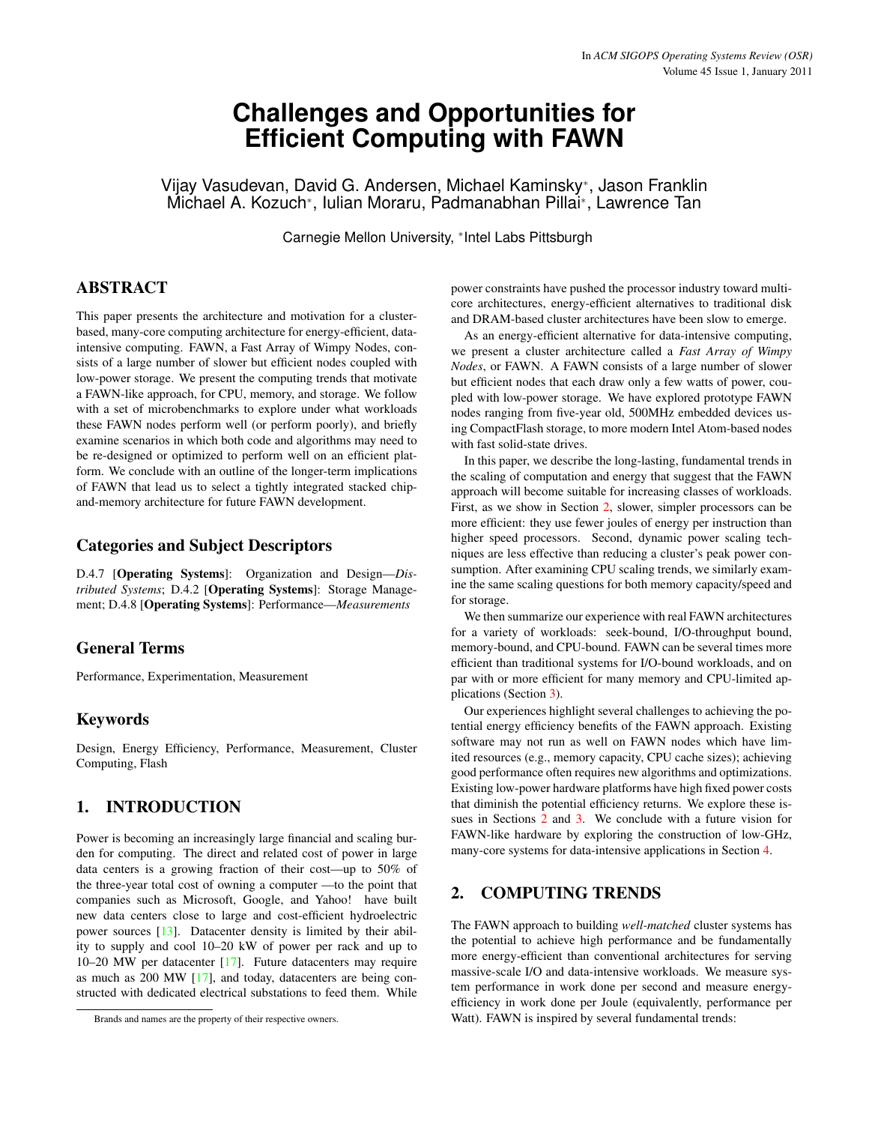# **Challenges and Opportunities for Efficient Computing with FAWN**

Vijay Vasudevan, David G. Andersen, Michael Kaminsky<sup>∗</sup> , Jason Franklin Michael A. Kozuch<sup>∗</sup>, Iulian Moraru, Padmanabhan Pillai<sup>∗</sup>, Lawrence Tan

Carnegie Mellon University, <sup>∗</sup> Intel Labs Pittsburgh

# ABSTRACT

This paper presents the architecture and motivation for a clusterbased, many-core computing architecture for energy-efficient, dataintensive computing. FAWN, a Fast Array of Wimpy Nodes, consists of a large number of slower but efficient nodes coupled with low-power storage. We present the computing trends that motivate a FAWN-like approach, for CPU, memory, and storage. We follow with a set of microbenchmarks to explore under what workloads these FAWN nodes perform well (or perform poorly), and briefly examine scenarios in which both code and algorithms may need to be re-designed or optimized to perform well on an efficient platform. We conclude with an outline of the longer-term implications of FAWN that lead us to select a tightly integrated stacked chipand-memory architecture for future FAWN development.

### Categories and Subject Descriptors

D.4.7 [Operating Systems]: Organization and Design—*Distributed Systems*; D.4.2 [Operating Systems]: Storage Management; D.4.8 [Operating Systems]: Performance—*Measurements*

# General Terms

Performance, Experimentation, Measurement

# Keywords

Design, Energy Efficiency, Performance, Measurement, Cluster Computing, Flash

# 1. INTRODUCTION

Power is becoming an increasingly large financial and scaling burden for computing. The direct and related cost of power in large data centers is a growing fraction of their cost—up to 50% of the three-year total cost of owning a computer —to the point that companies such as Microsoft, Google, and Yahoo! have built new data centers close to large and cost-efficient hydroelectric power sources [\[13\]](#page-10-0). Datacenter density is limited by their ability to supply and cool 10–20 kW of power per rack and up to 10–20 MW per datacenter [\[17\]](#page-10-1). Future datacenters may require as much as 200 MW [\[17\]](#page-10-1), and today, datacenters are being constructed with dedicated electrical substations to feed them. While power constraints have pushed the processor industry toward multicore architectures, energy-efficient alternatives to traditional disk and DRAM-based cluster architectures have been slow to emerge.

As an energy-efficient alternative for data-intensive computing, we present a cluster architecture called a *Fast Array of Wimpy Nodes*, or FAWN. A FAWN consists of a large number of slower but efficient nodes that each draw only a few watts of power, coupled with low-power storage. We have explored prototype FAWN nodes ranging from five-year old, 500MHz embedded devices using CompactFlash storage, to more modern Intel Atom-based nodes with fast solid-state drives.

In this paper, we describe the long-lasting, fundamental trends in the scaling of computation and energy that suggest that the FAWN approach will become suitable for increasing classes of workloads. First, as we show in Section [2,](#page-0-0) slower, simpler processors can be more efficient: they use fewer joules of energy per instruction than higher speed processors. Second, dynamic power scaling techniques are less effective than reducing a cluster's peak power consumption. After examining CPU scaling trends, we similarly examine the same scaling questions for both memory capacity/speed and for storage.

We then summarize our experience with real FAWN architectures for a variety of workloads: seek-bound, I/O-throughput bound, memory-bound, and CPU-bound. FAWN can be several times more efficient than traditional systems for I/O-bound workloads, and on par with or more efficient for many memory and CPU-limited applications (Section [3\)](#page-2-0).

Our experiences highlight several challenges to achieving the potential energy efficiency benefits of the FAWN approach. Existing software may not run as well on FAWN nodes which have limited resources (e.g., memory capacity, CPU cache sizes); achieving good performance often requires new algorithms and optimizations. Existing low-power hardware platforms have high fixed power costs that diminish the potential efficiency returns. We explore these issues in Sections [2](#page-0-0) and [3.](#page-2-0) We conclude with a future vision for FAWN-like hardware by exploring the construction of low-GHz, many-core systems for data-intensive applications in Section [4.](#page-8-0)

# <span id="page-0-0"></span>2. COMPUTING TRENDS

The FAWN approach to building *well-matched* cluster systems has the potential to achieve high performance and be fundamentally more energy-efficient than conventional architectures for serving massive-scale I/O and data-intensive workloads. We measure system performance in work done per second and measure energyefficiency in work done per Joule (equivalently, performance per Watt). FAWN is inspired by several fundamental trends:

Brands and names are the property of their respective owners.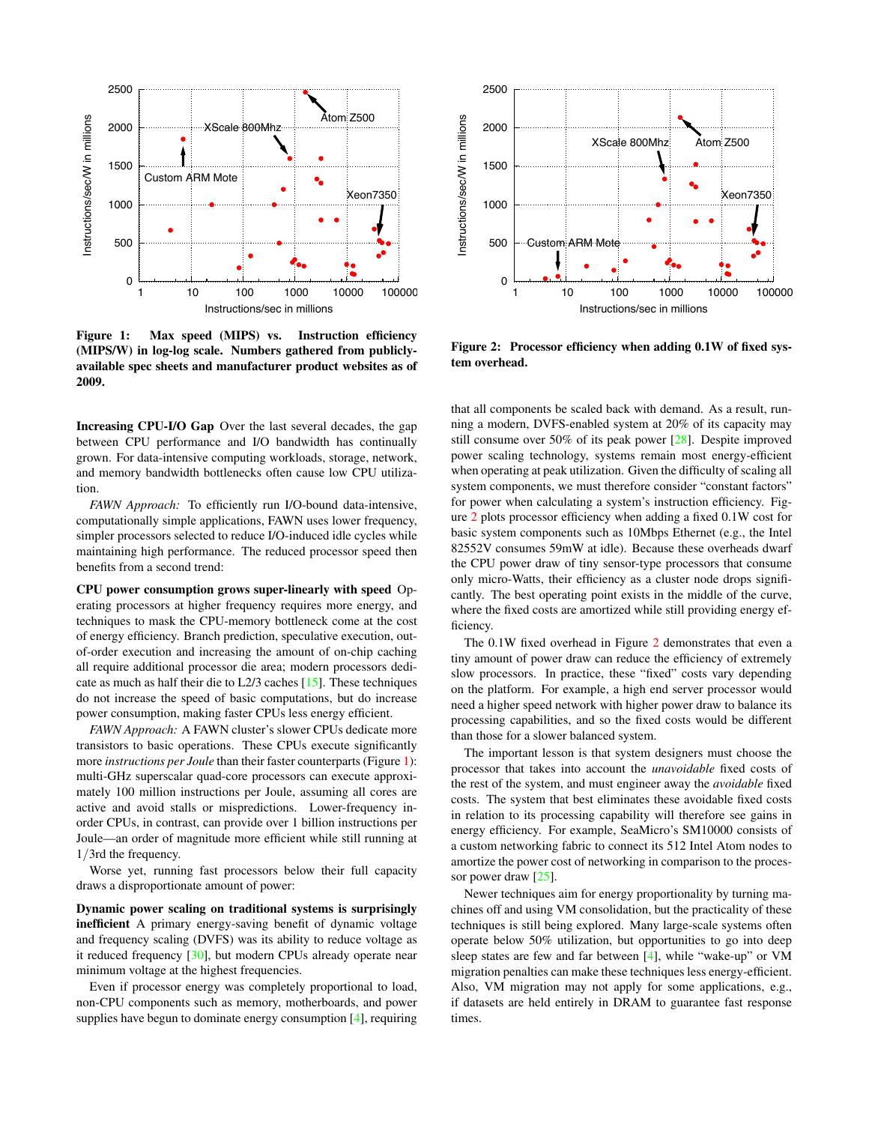<span id="page-1-0"></span>

Figure 1: Max speed (MIPS) vs. Instruction efficiency (MIPS/W) in log-log scale. Numbers gathered from publiclyavailable spec sheets and manufacturer product websites as of 2009.

Increasing CPU-I/O Gap Over the last several decades, the gap between CPU performance and I/O bandwidth has continually grown. For data-intensive computing workloads, storage, network, and memory bandwidth bottlenecks often cause low CPU utilization.

*FAWN Approach:* To efficiently run I/O-bound data-intensive, computationally simple applications, FAWN uses lower frequency, simpler processors selected to reduce I/O-induced idle cycles while maintaining high performance. The reduced processor speed then benefits from a second trend:

CPU power consumption grows super-linearly with speed Operating processors at higher frequency requires more energy, and techniques to mask the CPU-memory bottleneck come at the cost of energy efficiency. Branch prediction, speculative execution, outof-order execution and increasing the amount of on-chip caching all require additional processor die area; modern processors dedicate as much as half their die to L2/3 caches [\[15\]](#page-10-2). These techniques do not increase the speed of basic computations, but do increase power consumption, making faster CPUs less energy efficient.

*FAWN Approach:* A FAWN cluster's slower CPUs dedicate more transistors to basic operations. These CPUs execute significantly more *instructions per Joule* than their faster counterparts (Figure [1\)](#page-1-0): multi-GHz superscalar quad-core processors can execute approximately 100 million instructions per Joule, assuming all cores are active and avoid stalls or mispredictions. Lower-frequency inorder CPUs, in contrast, can provide over 1 billion instructions per Joule—an order of magnitude more efficient while still running at 1/3rd the frequency.

Worse yet, running fast processors below their full capacity draws a disproportionate amount of power:

Dynamic power scaling on traditional systems is surprisingly inefficient A primary energy-saving benefit of dynamic voltage and frequency scaling (DVFS) was its ability to reduce voltage as it reduced frequency [\[30\]](#page-10-3), but modern CPUs already operate near minimum voltage at the highest frequencies.

Even if processor energy was completely proportional to load, non-CPU components such as memory, motherboards, and power supplies have begun to dominate energy consumption [\[4\]](#page-9-0), requiring

<span id="page-1-1"></span>

Figure 2: Processor efficiency when adding 0.1W of fixed system overhead.

that all components be scaled back with demand. As a result, running a modern, DVFS-enabled system at 20% of its capacity may still consume over 50% of its peak power [\[28\]](#page-10-4). Despite improved power scaling technology, systems remain most energy-efficient when operating at peak utilization. Given the difficulty of scaling all system components, we must therefore consider "constant factors" for power when calculating a system's instruction efficiency. Figure [2](#page-1-1) plots processor efficiency when adding a fixed 0.1W cost for basic system components such as 10Mbps Ethernet (e.g., the Intel 82552V consumes 59mW at idle). Because these overheads dwarf the CPU power draw of tiny sensor-type processors that consume only micro-Watts, their efficiency as a cluster node drops significantly. The best operating point exists in the middle of the curve, where the fixed costs are amortized while still providing energy efficiency.

The 0.1W fixed overhead in Figure [2](#page-1-1) demonstrates that even a tiny amount of power draw can reduce the efficiency of extremely slow processors. In practice, these "fixed" costs vary depending on the platform. For example, a high end server processor would need a higher speed network with higher power draw to balance its processing capabilities, and so the fixed costs would be different than those for a slower balanced system.

The important lesson is that system designers must choose the processor that takes into account the *unavoidable* fixed costs of the rest of the system, and must engineer away the *avoidable* fixed costs. The system that best eliminates these avoidable fixed costs in relation to its processing capability will therefore see gains in energy efficiency. For example, SeaMicro's SM10000 consists of a custom networking fabric to connect its 512 Intel Atom nodes to amortize the power cost of networking in comparison to the processor power draw [\[25\]](#page-10-5).

Newer techniques aim for energy proportionality by turning machines off and using VM consolidation, but the practicality of these techniques is still being explored. Many large-scale systems often operate below 50% utilization, but opportunities to go into deep sleep states are few and far between [\[4\]](#page-9-0), while "wake-up" or VM migration penalties can make these techniques less energy-efficient. Also, VM migration may not apply for some applications, e.g., if datasets are held entirely in DRAM to guarantee fast response times.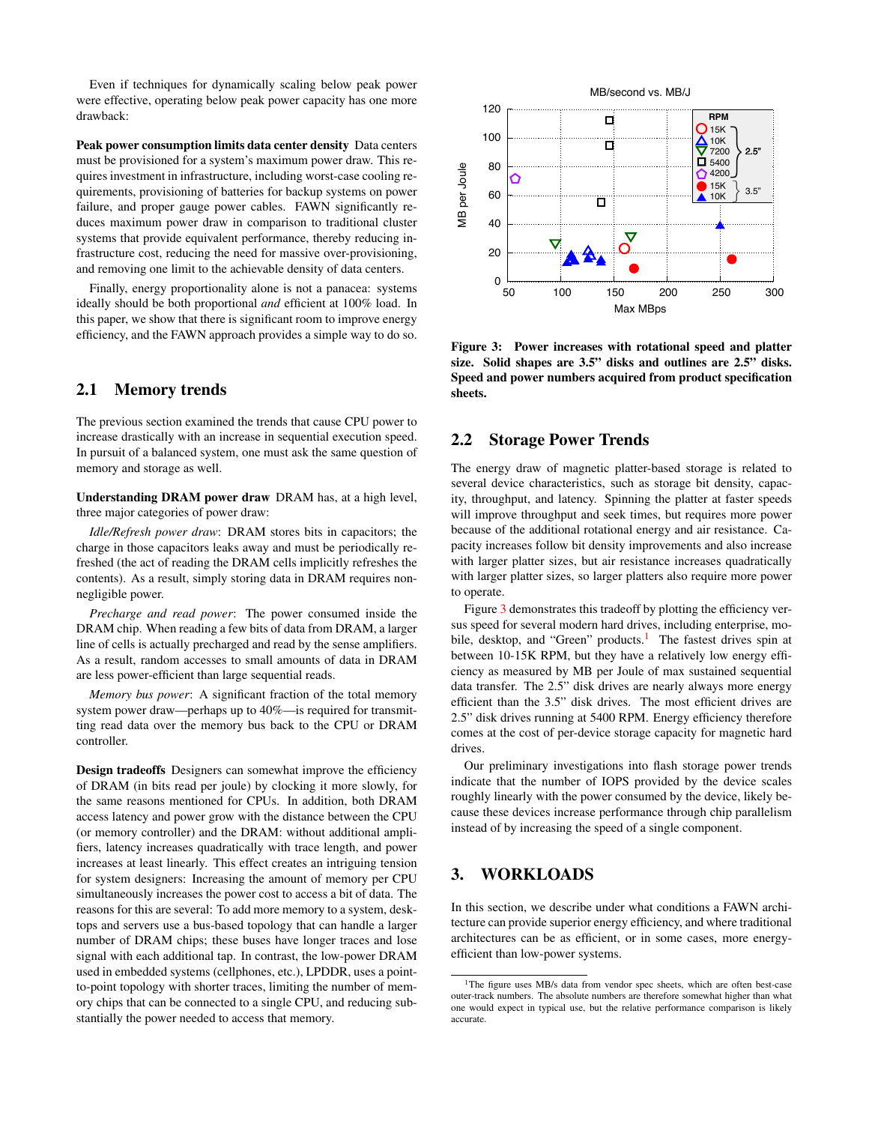Even if techniques for dynamically scaling below peak power were effective, operating below peak power capacity has one more drawback:

Peak power consumption limits data center density Data centers must be provisioned for a system's maximum power draw. This requires investment in infrastructure, including worst-case cooling requirements, provisioning of batteries for backup systems on power failure, and proper gauge power cables. FAWN significantly reduces maximum power draw in comparison to traditional cluster systems that provide equivalent performance, thereby reducing infrastructure cost, reducing the need for massive over-provisioning, and removing one limit to the achievable density of data centers.

Finally, energy proportionality alone is not a panacea: systems ideally should be both proportional *and* efficient at 100% load. In this paper, we show that there is significant room to improve energy efficiency, and the FAWN approach provides a simple way to do so.

### 2.1 Memory trends

The previous section examined the trends that cause CPU power to increase drastically with an increase in sequential execution speed. In pursuit of a balanced system, one must ask the same question of memory and storage as well.

Understanding DRAM power draw DRAM has, at a high level, three major categories of power draw:

*Idle/Refresh power draw*: DRAM stores bits in capacitors; the charge in those capacitors leaks away and must be periodically refreshed (the act of reading the DRAM cells implicitly refreshes the contents). As a result, simply storing data in DRAM requires nonnegligible power.

*Precharge and read power*: The power consumed inside the DRAM chip. When reading a few bits of data from DRAM, a larger line of cells is actually precharged and read by the sense amplifiers. As a result, random accesses to small amounts of data in DRAM are less power-efficient than large sequential reads.

*Memory bus power*: A significant fraction of the total memory system power draw—perhaps up to 40%—is required for transmitting read data over the memory bus back to the CPU or DRAM controller.

Design tradeoffs Designers can somewhat improve the efficiency of DRAM (in bits read per joule) by clocking it more slowly, for the same reasons mentioned for CPUs. In addition, both DRAM access latency and power grow with the distance between the CPU (or memory controller) and the DRAM: without additional amplifiers, latency increases quadratically with trace length, and power increases at least linearly. This effect creates an intriguing tension for system designers: Increasing the amount of memory per CPU simultaneously increases the power cost to access a bit of data. The reasons for this are several: To add more memory to a system, desktops and servers use a bus-based topology that can handle a larger number of DRAM chips; these buses have longer traces and lose signal with each additional tap. In contrast, the low-power DRAM used in embedded systems (cellphones, etc.), LPDDR, uses a pointto-point topology with shorter traces, limiting the number of memory chips that can be connected to a single CPU, and reducing substantially the power needed to access that memory.

<span id="page-2-1"></span>

Figure 3: Power increases with rotational speed and platter size. Solid shapes are 3.5" disks and outlines are 2.5" disks. Speed and power numbers acquired from product specification sheets.

# 2.2 Storage Power Trends

The energy draw of magnetic platter-based storage is related to several device characteristics, such as storage bit density, capacity, throughput, and latency. Spinning the platter at faster speeds will improve throughput and seek times, but requires more power because of the additional rotational energy and air resistance. Capacity increases follow bit density improvements and also increase with larger platter sizes, but air resistance increases quadratically with larger platter sizes, so larger platters also require more power to operate.

Figure [3](#page-2-1) demonstrates this tradeoff by plotting the efficiency versus speed for several modern hard drives, including enterprise, mo-bile, desktop, and "Green" products.<sup>[1](#page-2-2)</sup> The fastest drives spin at between 10-15K RPM, but they have a relatively low energy efficiency as measured by MB per Joule of max sustained sequential data transfer. The 2.5" disk drives are nearly always more energy efficient than the 3.5" disk drives. The most efficient drives are 2.5" disk drives running at 5400 RPM. Energy efficiency therefore comes at the cost of per-device storage capacity for magnetic hard drives.

Our preliminary investigations into flash storage power trends indicate that the number of IOPS provided by the device scales roughly linearly with the power consumed by the device, likely because these devices increase performance through chip parallelism instead of by increasing the speed of a single component.

# <span id="page-2-0"></span>3. WORKLOADS

In this section, we describe under what conditions a FAWN architecture can provide superior energy efficiency, and where traditional architectures can be as efficient, or in some cases, more energyefficient than low-power systems.

<span id="page-2-2"></span><sup>&</sup>lt;sup>1</sup>The figure uses MB/s data from vendor spec sheets, which are often best-case outer-track numbers. The absolute numbers are therefore somewhat higher than what one would expect in typical use, but the relative performance comparison is likely accurate.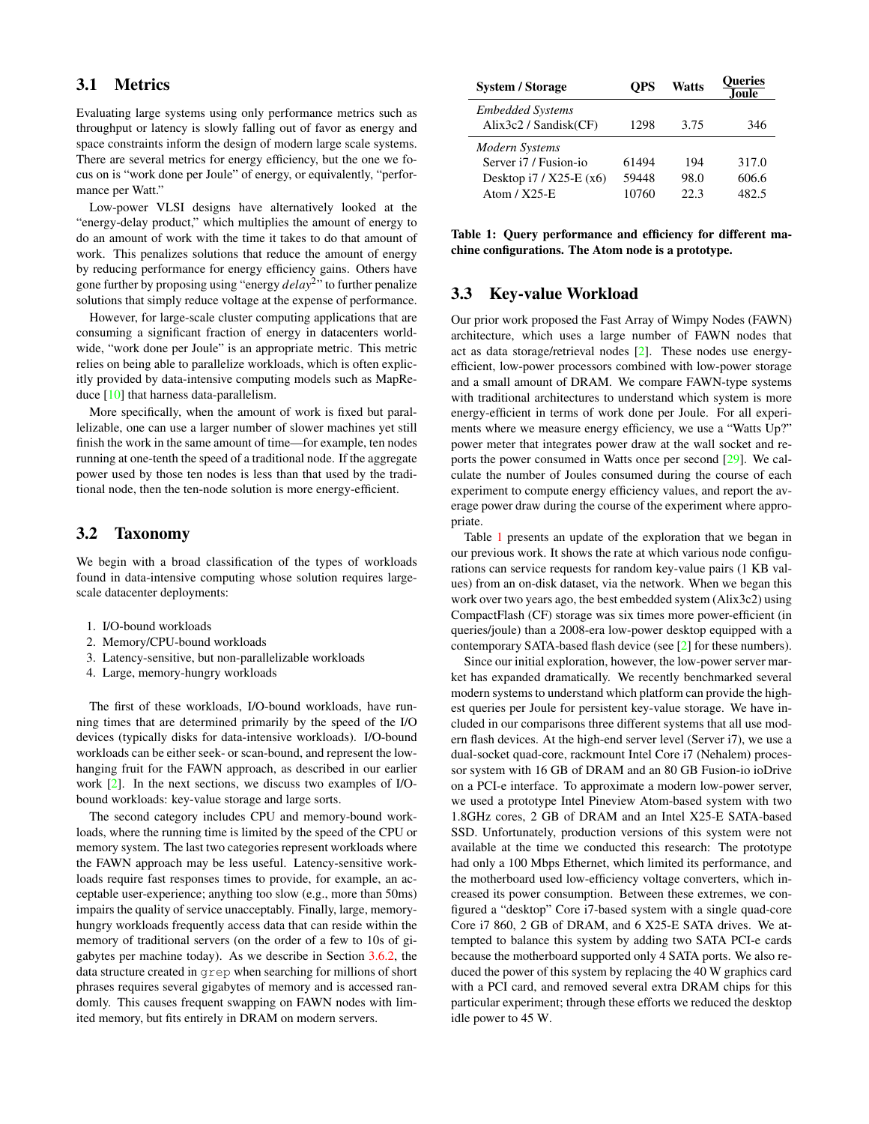# 3.1 Metrics

Evaluating large systems using only performance metrics such as throughput or latency is slowly falling out of favor as energy and space constraints inform the design of modern large scale systems. There are several metrics for energy efficiency, but the one we focus on is "work done per Joule" of energy, or equivalently, "performance per Watt."

Low-power VLSI designs have alternatively looked at the "energy-delay product," which multiplies the amount of energy to do an amount of work with the time it takes to do that amount of work. This penalizes solutions that reduce the amount of energy by reducing performance for energy efficiency gains. Others have gone further by proposing using "energy *delay*<sup>2</sup> " to further penalize solutions that simply reduce voltage at the expense of performance.

However, for large-scale cluster computing applications that are consuming a significant fraction of energy in datacenters worldwide, "work done per Joule" is an appropriate metric. This metric relies on being able to parallelize workloads, which is often explicitly provided by data-intensive computing models such as MapReduce [\[10\]](#page-10-6) that harness data-parallelism.

More specifically, when the amount of work is fixed but parallelizable, one can use a larger number of slower machines yet still finish the work in the same amount of time—for example, ten nodes running at one-tenth the speed of a traditional node. If the aggregate power used by those ten nodes is less than that used by the traditional node, then the ten-node solution is more energy-efficient.

### 3.2 Taxonomy

We begin with a broad classification of the types of workloads found in data-intensive computing whose solution requires largescale datacenter deployments:

- 1. I/O-bound workloads
- 2. Memory/CPU-bound workloads
- 3. Latency-sensitive, but non-parallelizable workloads
- 4. Large, memory-hungry workloads

The first of these workloads, I/O-bound workloads, have running times that are determined primarily by the speed of the I/O devices (typically disks for data-intensive workloads). I/O-bound workloads can be either seek- or scan-bound, and represent the lowhanging fruit for the FAWN approach, as described in our earlier work [\[2\]](#page-9-1). In the next sections, we discuss two examples of I/Obound workloads: key-value storage and large sorts.

The second category includes CPU and memory-bound workloads, where the running time is limited by the speed of the CPU or memory system. The last two categories represent workloads where the FAWN approach may be less useful. Latency-sensitive workloads require fast responses times to provide, for example, an acceptable user-experience; anything too slow (e.g., more than 50ms) impairs the quality of service unacceptably. Finally, large, memoryhungry workloads frequently access data that can reside within the memory of traditional servers (on the order of a few to 10s of gigabytes per machine today). As we describe in Section [3.6.2,](#page-7-0) the data structure created in grep when searching for millions of short phrases requires several gigabytes of memory and is accessed randomly. This causes frequent swapping on FAWN nodes with limited memory, but fits entirely in DRAM on modern servers.

<span id="page-3-0"></span>

| <b>System / Storage</b>                                                                | <b>OPS</b>              | <b>Watts</b>        | Oueries<br><b>Joule</b> |
|----------------------------------------------------------------------------------------|-------------------------|---------------------|-------------------------|
| <b>Embedded Systems</b><br>Alix3c2 / Sandisk(CF)                                       | 1298                    | 3.75                | 346                     |
| Modern Systems<br>Server i7 / Fusion-io<br>Desktop $i7 / X25-E (x6)$<br>Atom / $X25-E$ | 61494<br>59448<br>10760 | 194<br>98.0<br>22.3 | 317.0<br>606.6<br>482.5 |

Table 1: Query performance and efficiency for different machine configurations. The Atom node is a prototype.

### <span id="page-3-1"></span>3.3 Key-value Workload

Our prior work proposed the Fast Array of Wimpy Nodes (FAWN) architecture, which uses a large number of FAWN nodes that act as data storage/retrieval nodes [\[2\]](#page-9-1). These nodes use energyefficient, low-power processors combined with low-power storage and a small amount of DRAM. We compare FAWN-type systems with traditional architectures to understand which system is more energy-efficient in terms of work done per Joule. For all experiments where we measure energy efficiency, we use a "Watts Up?" power meter that integrates power draw at the wall socket and reports the power consumed in Watts once per second [\[29\]](#page-10-7). We calculate the number of Joules consumed during the course of each experiment to compute energy efficiency values, and report the average power draw during the course of the experiment where appropriate.

Table [1](#page-3-0) presents an update of the exploration that we began in our previous work. It shows the rate at which various node configurations can service requests for random key-value pairs (1 KB values) from an on-disk dataset, via the network. When we began this work over two years ago, the best embedded system (Alix3c2) using CompactFlash (CF) storage was six times more power-efficient (in queries/joule) than a 2008-era low-power desktop equipped with a contemporary SATA-based flash device (see [\[2\]](#page-9-1) for these numbers).

Since our initial exploration, however, the low-power server market has expanded dramatically. We recently benchmarked several modern systems to understand which platform can provide the highest queries per Joule for persistent key-value storage. We have included in our comparisons three different systems that all use modern flash devices. At the high-end server level (Server i7), we use a dual-socket quad-core, rackmount Intel Core i7 (Nehalem) processor system with 16 GB of DRAM and an 80 GB Fusion-io ioDrive on a PCI-e interface. To approximate a modern low-power server, we used a prototype Intel Pineview Atom-based system with two 1.8GHz cores, 2 GB of DRAM and an Intel X25-E SATA-based SSD. Unfortunately, production versions of this system were not available at the time we conducted this research: The prototype had only a 100 Mbps Ethernet, which limited its performance, and the motherboard used low-efficiency voltage converters, which increased its power consumption. Between these extremes, we configured a "desktop" Core i7-based system with a single quad-core Core i7 860, 2 GB of DRAM, and 6 X25-E SATA drives. We attempted to balance this system by adding two SATA PCI-e cards because the motherboard supported only 4 SATA ports. We also reduced the power of this system by replacing the 40 W graphics card with a PCI card, and removed several extra DRAM chips for this particular experiment; through these efforts we reduced the desktop idle power to 45 W.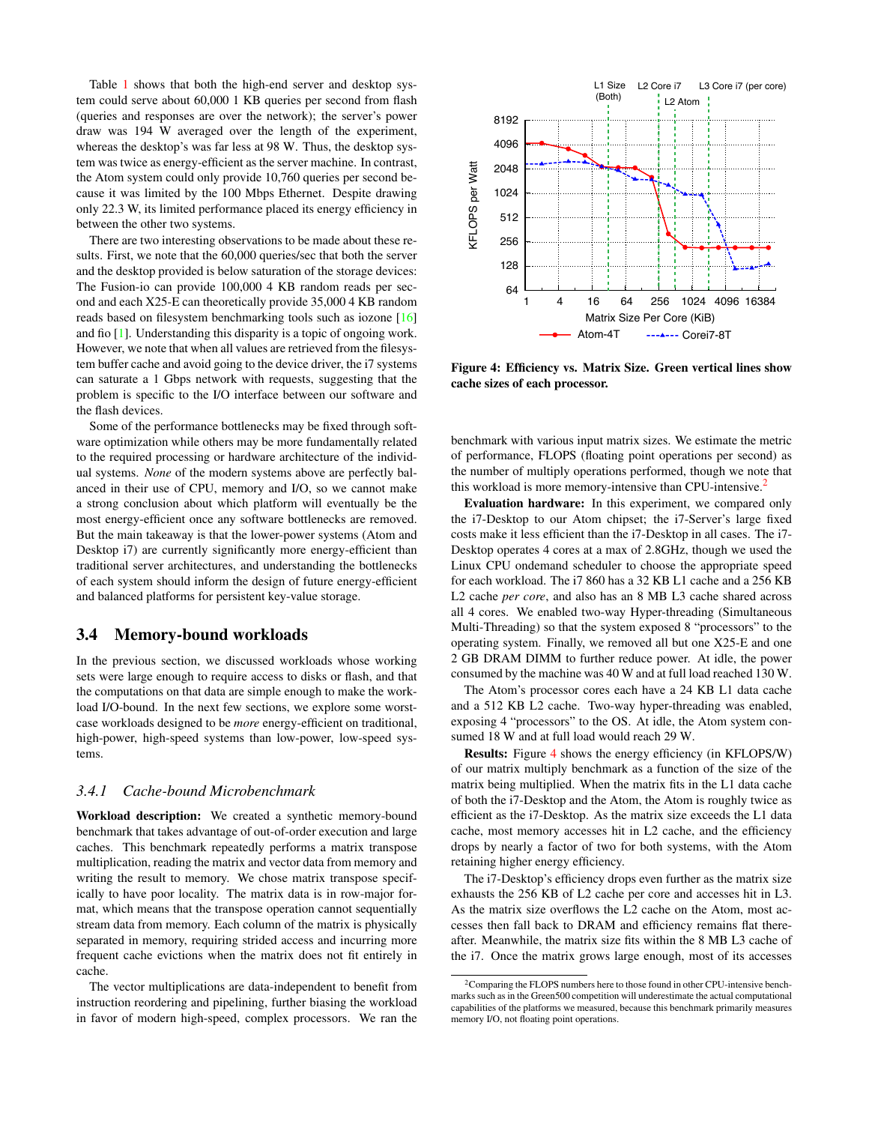Table [1](#page-3-0) shows that both the high-end server and desktop system could serve about 60,000 1 KB queries per second from flash (queries and responses are over the network); the server's power draw was 194 W averaged over the length of the experiment, whereas the desktop's was far less at 98 W. Thus, the desktop system was twice as energy-efficient as the server machine. In contrast, the Atom system could only provide 10,760 queries per second because it was limited by the 100 Mbps Ethernet. Despite drawing only 22.3 W, its limited performance placed its energy efficiency in between the other two systems.

There are two interesting observations to be made about these results. First, we note that the 60,000 queries/sec that both the server and the desktop provided is below saturation of the storage devices: The Fusion-io can provide 100,000 4 KB random reads per second and each X25-E can theoretically provide 35,000 4 KB random reads based on filesystem benchmarking tools such as iozone [\[16\]](#page-10-8) and fio [\[1\]](#page-9-2). Understanding this disparity is a topic of ongoing work. However, we note that when all values are retrieved from the filesystem buffer cache and avoid going to the device driver, the i7 systems can saturate a 1 Gbps network with requests, suggesting that the problem is specific to the I/O interface between our software and the flash devices.

Some of the performance bottlenecks may be fixed through software optimization while others may be more fundamentally related to the required processing or hardware architecture of the individual systems. *None* of the modern systems above are perfectly balanced in their use of CPU, memory and I/O, so we cannot make a strong conclusion about which platform will eventually be the most energy-efficient once any software bottlenecks are removed. But the main takeaway is that the lower-power systems (Atom and Desktop i7) are currently significantly more energy-efficient than traditional server architectures, and understanding the bottlenecks of each system should inform the design of future energy-efficient and balanced platforms for persistent key-value storage.

### 3.4 Memory-bound workloads

In the previous section, we discussed workloads whose working sets were large enough to require access to disks or flash, and that the computations on that data are simple enough to make the workload I/O-bound. In the next few sections, we explore some worstcase workloads designed to be *more* energy-efficient on traditional, high-power, high-speed systems than low-power, low-speed systems.

#### *3.4.1 Cache-bound Microbenchmark*

Workload description: We created a synthetic memory-bound benchmark that takes advantage of out-of-order execution and large caches. This benchmark repeatedly performs a matrix transpose multiplication, reading the matrix and vector data from memory and writing the result to memory. We chose matrix transpose specifically to have poor locality. The matrix data is in row-major format, which means that the transpose operation cannot sequentially stream data from memory. Each column of the matrix is physically separated in memory, requiring strided access and incurring more frequent cache evictions when the matrix does not fit entirely in cache.

The vector multiplications are data-independent to benefit from instruction reordering and pipelining, further biasing the workload in favor of modern high-speed, complex processors. We ran the

<span id="page-4-1"></span>

Figure 4: Efficiency vs. Matrix Size. Green vertical lines show cache sizes of each processor.

benchmark with various input matrix sizes. We estimate the metric of performance, FLOPS (floating point operations per second) as the number of multiply operations performed, though we note that this workload is more memory-intensive than CPU-intensive.[2](#page-4-0)

Evaluation hardware: In this experiment, we compared only the i7-Desktop to our Atom chipset; the i7-Server's large fixed costs make it less efficient than the i7-Desktop in all cases. The i7- Desktop operates 4 cores at a max of 2.8GHz, though we used the Linux CPU ondemand scheduler to choose the appropriate speed for each workload. The i7 860 has a 32 KB L1 cache and a 256 KB L2 cache *per core*, and also has an 8 MB L3 cache shared across all 4 cores. We enabled two-way Hyper-threading (Simultaneous Multi-Threading) so that the system exposed 8 "processors" to the operating system. Finally, we removed all but one X25-E and one 2 GB DRAM DIMM to further reduce power. At idle, the power consumed by the machine was 40 W and at full load reached 130 W.

The Atom's processor cores each have a 24 KB L1 data cache and a 512 KB L2 cache. Two-way hyper-threading was enabled, exposing 4 "processors" to the OS. At idle, the Atom system consumed 18 W and at full load would reach 29 W.

Results: Figure [4](#page-4-1) shows the energy efficiency (in KFLOPS/W) of our matrix multiply benchmark as a function of the size of the matrix being multiplied. When the matrix fits in the L1 data cache of both the i7-Desktop and the Atom, the Atom is roughly twice as efficient as the i7-Desktop. As the matrix size exceeds the L1 data cache, most memory accesses hit in L2 cache, and the efficiency drops by nearly a factor of two for both systems, with the Atom retaining higher energy efficiency.

The i7-Desktop's efficiency drops even further as the matrix size exhausts the 256 KB of L2 cache per core and accesses hit in L3. As the matrix size overflows the L2 cache on the Atom, most accesses then fall back to DRAM and efficiency remains flat thereafter. Meanwhile, the matrix size fits within the 8 MB L3 cache of the i7. Once the matrix grows large enough, most of its accesses

<span id="page-4-0"></span><sup>&</sup>lt;sup>2</sup>Comparing the FLOPS numbers here to those found in other CPU-intensive benchmarks such as in the Green500 competition will underestimate the actual computational capabilities of the platforms we measured, because this benchmark primarily measures memory I/O, not floating point operations.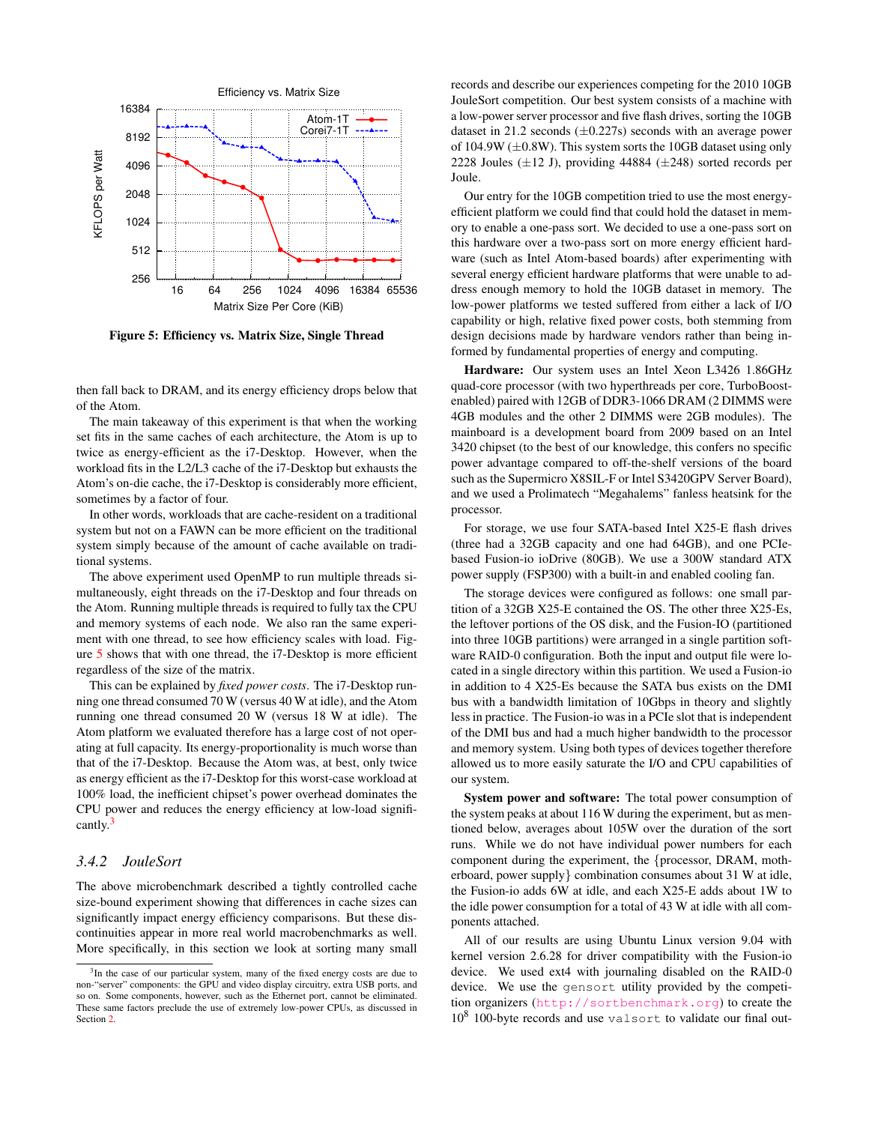<span id="page-5-0"></span>

Figure 5: Efficiency vs. Matrix Size, Single Thread

then fall back to DRAM, and its energy efficiency drops below that of the Atom.

The main takeaway of this experiment is that when the working set fits in the same caches of each architecture, the Atom is up to twice as energy-efficient as the i7-Desktop. However, when the workload fits in the L2/L3 cache of the i7-Desktop but exhausts the Atom's on-die cache, the i7-Desktop is considerably more efficient, sometimes by a factor of four.

In other words, workloads that are cache-resident on a traditional system but not on a FAWN can be more efficient on the traditional system simply because of the amount of cache available on traditional systems.

The above experiment used OpenMP to run multiple threads simultaneously, eight threads on the i7-Desktop and four threads on the Atom. Running multiple threads is required to fully tax the CPU and memory systems of each node. We also ran the same experiment with one thread, to see how efficiency scales with load. Figure [5](#page-5-0) shows that with one thread, the i7-Desktop is more efficient regardless of the size of the matrix.

This can be explained by *fixed power costs*. The i7-Desktop running one thread consumed 70 W (versus 40 W at idle), and the Atom running one thread consumed 20 W (versus 18 W at idle). The Atom platform we evaluated therefore has a large cost of not operating at full capacity. Its energy-proportionality is much worse than that of the i7-Desktop. Because the Atom was, at best, only twice as energy efficient as the i7-Desktop for this worst-case workload at 100% load, the inefficient chipset's power overhead dominates the CPU power and reduces the energy efficiency at low-load signifi-cantly.<sup>[3](#page-5-1)</sup>

#### *3.4.2 JouleSort*

The above microbenchmark described a tightly controlled cache size-bound experiment showing that differences in cache sizes can significantly impact energy efficiency comparisons. But these discontinuities appear in more real world macrobenchmarks as well. More specifically, in this section we look at sorting many small records and describe our experiences competing for the 2010 10GB JouleSort competition. Our best system consists of a machine with a low-power server processor and five flash drives, sorting the 10GB dataset in 21.2 seconds  $(\pm 0.227s)$  seconds with an average power of 104.9W ( $\pm$ 0.8W). This system sorts the 10GB dataset using only 2228 Joules ( $\pm$ 12 J), providing 44884 ( $\pm$ 248) sorted records per Joule.

Our entry for the 10GB competition tried to use the most energyefficient platform we could find that could hold the dataset in memory to enable a one-pass sort. We decided to use a one-pass sort on this hardware over a two-pass sort on more energy efficient hardware (such as Intel Atom-based boards) after experimenting with several energy efficient hardware platforms that were unable to address enough memory to hold the 10GB dataset in memory. The low-power platforms we tested suffered from either a lack of I/O capability or high, relative fixed power costs, both stemming from design decisions made by hardware vendors rather than being informed by fundamental properties of energy and computing.

Hardware: Our system uses an Intel Xeon L3426 1.86GHz quad-core processor (with two hyperthreads per core, TurboBoostenabled) paired with 12GB of DDR3-1066 DRAM (2 DIMMS were 4GB modules and the other 2 DIMMS were 2GB modules). The mainboard is a development board from 2009 based on an Intel 3420 chipset (to the best of our knowledge, this confers no specific power advantage compared to off-the-shelf versions of the board such as the Supermicro X8SIL-F or Intel S3420GPV Server Board), and we used a Prolimatech "Megahalems" fanless heatsink for the processor.

For storage, we use four SATA-based Intel X25-E flash drives (three had a 32GB capacity and one had 64GB), and one PCIebased Fusion-io ioDrive (80GB). We use a 300W standard ATX power supply (FSP300) with a built-in and enabled cooling fan.

The storage devices were configured as follows: one small partition of a 32GB X25-E contained the OS. The other three X25-Es, the leftover portions of the OS disk, and the Fusion-IO (partitioned into three 10GB partitions) were arranged in a single partition software RAID-0 configuration. Both the input and output file were located in a single directory within this partition. We used a Fusion-io in addition to 4 X25-Es because the SATA bus exists on the DMI bus with a bandwidth limitation of 10Gbps in theory and slightly less in practice. The Fusion-io was in a PCIe slot that is independent of the DMI bus and had a much higher bandwidth to the processor and memory system. Using both types of devices together therefore allowed us to more easily saturate the I/O and CPU capabilities of our system.

System power and software: The total power consumption of the system peaks at about 116 W during the experiment, but as mentioned below, averages about 105W over the duration of the sort runs. While we do not have individual power numbers for each component during the experiment, the {processor, DRAM, motherboard, power supply} combination consumes about 31 W at idle, the Fusion-io adds 6W at idle, and each X25-E adds about 1W to the idle power consumption for a total of 43 W at idle with all components attached.

All of our results are using Ubuntu Linux version 9.04 with kernel version 2.6.28 for driver compatibility with the Fusion-io device. We used ext4 with journaling disabled on the RAID-0 device. We use the gensort utility provided by the competition organizers (<http://sortbenchmark.org>) to create the  $10<sup>8</sup>$  100-byte records and use valsort to validate our final out-

<span id="page-5-1"></span><sup>&</sup>lt;sup>3</sup>In the case of our particular system, many of the fixed energy costs are due to non-"server" components: the GPU and video display circuitry, extra USB ports, and so on. Some components, however, such as the Ethernet port, cannot be eliminated. These same factors preclude the use of extremely low-power CPUs, as discussed in Section [2.](#page-0-0)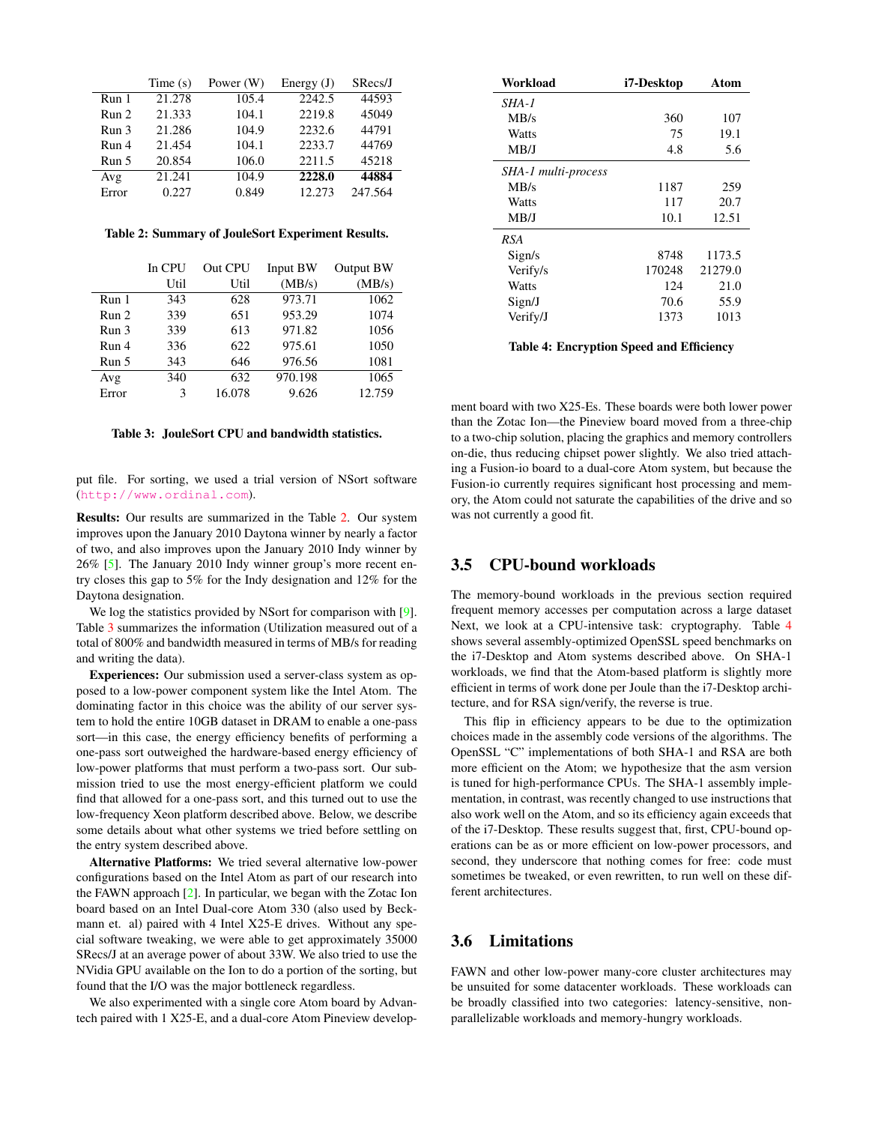<span id="page-6-0"></span>

|                  | Time(s) | Power $(W)$ | Energy $(J)$ | SRecs/J |
|------------------|---------|-------------|--------------|---------|
| Run 1            | 21.278  | 105.4       | 2242.5       | 44593   |
| Run <sub>2</sub> | 21.333  | 104.1       | 2219.8       | 45049   |
| Run <sub>3</sub> | 21.286  | 104.9       | 2232.6       | 44791   |
| Run 4            | 21.454  | 104.1       | 2233.7       | 44769   |
| Run <sub>5</sub> | 20.854  | 106.0       | 2211.5       | 45218   |
| Avg              | 21.241  | 104.9       | 2228.0       | 44884   |
| Error            | 0.227   | 0.849       | 12.273       | 247.564 |

Table 2: Summary of JouleSort Experiment Results.

<span id="page-6-1"></span>

|                  | In CPU | Out CPU | Input BW | Output BW |
|------------------|--------|---------|----------|-----------|
|                  | Util   | Util    | (MB/s)   | (MB/s)    |
| Run 1            | 343    | 628     | 973.71   | 1062      |
| Run 2            | 339    | 651     | 953.29   | 1074      |
| Run <sub>3</sub> | 339    | 613     | 971.82   | 1056      |
| Run 4            | 336    | 622     | 975.61   | 1050      |
| Run 5            | 343    | 646     | 976.56   | 1081      |
| Avg              | 340    | 632     | 970.198  | 1065      |
| Error            | 3      | 16.078  | 9.626    | 12.759    |

#### Table 3: JouleSort CPU and bandwidth statistics.

put file. For sorting, we used a trial version of NSort software (<http://www.ordinal.com>).

Results: Our results are summarized in the Table [2.](#page-6-0) Our system improves upon the January 2010 Daytona winner by nearly a factor of two, and also improves upon the January 2010 Indy winner by 26% [\[5\]](#page-10-9). The January 2010 Indy winner group's more recent entry closes this gap to 5% for the Indy designation and 12% for the Daytona designation.

We log the statistics provided by NSort for comparison with [\[9\]](#page-10-10). Table [3](#page-6-1) summarizes the information (Utilization measured out of a total of 800% and bandwidth measured in terms of MB/s for reading and writing the data).

Experiences: Our submission used a server-class system as opposed to a low-power component system like the Intel Atom. The dominating factor in this choice was the ability of our server system to hold the entire 10GB dataset in DRAM to enable a one-pass sort—in this case, the energy efficiency benefits of performing a one-pass sort outweighed the hardware-based energy efficiency of low-power platforms that must perform a two-pass sort. Our submission tried to use the most energy-efficient platform we could find that allowed for a one-pass sort, and this turned out to use the low-frequency Xeon platform described above. Below, we describe some details about what other systems we tried before settling on the entry system described above.

Alternative Platforms: We tried several alternative low-power configurations based on the Intel Atom as part of our research into the FAWN approach [\[2\]](#page-9-1). In particular, we began with the Zotac Ion board based on an Intel Dual-core Atom 330 (also used by Beckmann et. al) paired with 4 Intel X25-E drives. Without any special software tweaking, we were able to get approximately 35000 SRecs/J at an average power of about 33W. We also tried to use the NVidia GPU available on the Ion to do a portion of the sorting, but found that the I/O was the major bottleneck regardless.

We also experimented with a single core Atom board by Advantech paired with 1 X25-E, and a dual-core Atom Pineview develop-

<span id="page-6-2"></span>

| Workload            | i7-Desktop | Atom    |
|---------------------|------------|---------|
| SHA-1               |            |         |
| MB/s                | 360        | 107     |
| Watts               | 75         | 19.1    |
| MB/J                | 4.8        | 5.6     |
| SHA-1 multi-process |            |         |
| MB/s                | 1187       | 259     |
| Watts               | 117        | 20.7    |
| MB/J                | 10.1       | 12.51   |
| RSA                 |            |         |
| Sign/s              | 8748       | 1173.5  |
| Verify/s            | 170248     | 21279.0 |
| Watts               | 124        | 21.0    |
| Sign/J              | 70.6       | 55.9    |
| Verify/J            | 1373       | 1013    |

Table 4: Encryption Speed and Efficiency

ment board with two X25-Es. These boards were both lower power than the Zotac Ion—the Pineview board moved from a three-chip to a two-chip solution, placing the graphics and memory controllers on-die, thus reducing chipset power slightly. We also tried attaching a Fusion-io board to a dual-core Atom system, but because the Fusion-io currently requires significant host processing and memory, the Atom could not saturate the capabilities of the drive and so was not currently a good fit.

# 3.5 CPU-bound workloads

The memory-bound workloads in the previous section required frequent memory accesses per computation across a large dataset Next, we look at a CPU-intensive task: cryptography. Table [4](#page-6-2) shows several assembly-optimized OpenSSL speed benchmarks on the i7-Desktop and Atom systems described above. On SHA-1 workloads, we find that the Atom-based platform is slightly more efficient in terms of work done per Joule than the i7-Desktop architecture, and for RSA sign/verify, the reverse is true.

This flip in efficiency appears to be due to the optimization choices made in the assembly code versions of the algorithms. The OpenSSL "C" implementations of both SHA-1 and RSA are both more efficient on the Atom; we hypothesize that the asm version is tuned for high-performance CPUs. The SHA-1 assembly implementation, in contrast, was recently changed to use instructions that also work well on the Atom, and so its efficiency again exceeds that of the i7-Desktop. These results suggest that, first, CPU-bound operations can be as or more efficient on low-power processors, and second, they underscore that nothing comes for free: code must sometimes be tweaked, or even rewritten, to run well on these different architectures.

### 3.6 Limitations

FAWN and other low-power many-core cluster architectures may be unsuited for some datacenter workloads. These workloads can be broadly classified into two categories: latency-sensitive, nonparallelizable workloads and memory-hungry workloads.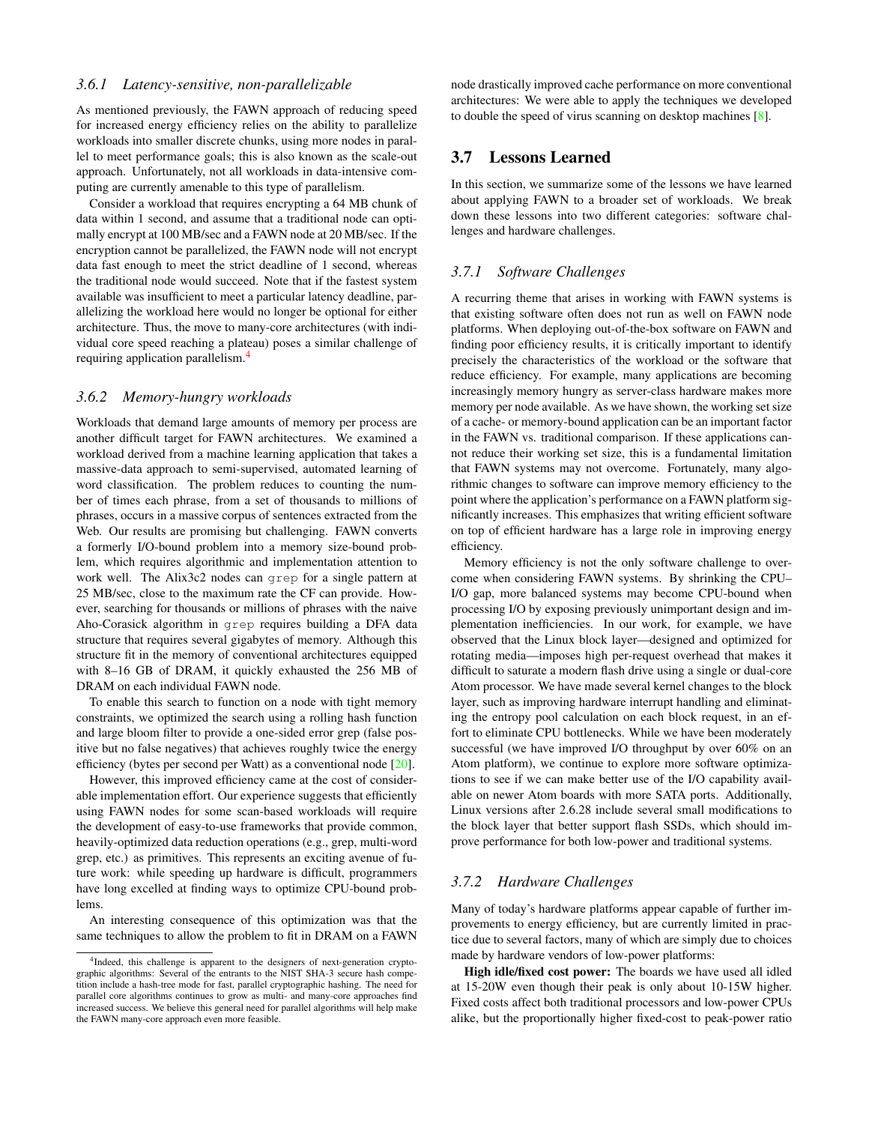#### *3.6.1 Latency-sensitive, non-parallelizable*

As mentioned previously, the FAWN approach of reducing speed for increased energy efficiency relies on the ability to parallelize workloads into smaller discrete chunks, using more nodes in parallel to meet performance goals; this is also known as the scale-out approach. Unfortunately, not all workloads in data-intensive computing are currently amenable to this type of parallelism.

Consider a workload that requires encrypting a 64 MB chunk of data within 1 second, and assume that a traditional node can optimally encrypt at 100 MB/sec and a FAWN node at 20 MB/sec. If the encryption cannot be parallelized, the FAWN node will not encrypt data fast enough to meet the strict deadline of 1 second, whereas the traditional node would succeed. Note that if the fastest system available was insufficient to meet a particular latency deadline, parallelizing the workload here would no longer be optional for either architecture. Thus, the move to many-core architectures (with individual core speed reaching a plateau) poses a similar challenge of requiring application parallelism.[4](#page-7-1)

### <span id="page-7-0"></span>*3.6.2 Memory-hungry workloads*

Workloads that demand large amounts of memory per process are another difficult target for FAWN architectures. We examined a workload derived from a machine learning application that takes a massive-data approach to semi-supervised, automated learning of word classification. The problem reduces to counting the number of times each phrase, from a set of thousands to millions of phrases, occurs in a massive corpus of sentences extracted from the Web. Our results are promising but challenging. FAWN converts a formerly I/O-bound problem into a memory size-bound problem, which requires algorithmic and implementation attention to work well. The Alix3c2 nodes can grep for a single pattern at 25 MB/sec, close to the maximum rate the CF can provide. However, searching for thousands or millions of phrases with the naive Aho-Corasick algorithm in grep requires building a DFA data structure that requires several gigabytes of memory. Although this structure fit in the memory of conventional architectures equipped with 8–16 GB of DRAM, it quickly exhausted the 256 MB of DRAM on each individual FAWN node.

To enable this search to function on a node with tight memory constraints, we optimized the search using a rolling hash function and large bloom filter to provide a one-sided error grep (false positive but no false negatives) that achieves roughly twice the energy efficiency (bytes per second per Watt) as a conventional node [\[20\]](#page-10-11).

However, this improved efficiency came at the cost of considerable implementation effort. Our experience suggests that efficiently using FAWN nodes for some scan-based workloads will require the development of easy-to-use frameworks that provide common, heavily-optimized data reduction operations (e.g., grep, multi-word grep, etc.) as primitives. This represents an exciting avenue of future work: while speeding up hardware is difficult, programmers have long excelled at finding ways to optimize CPU-bound problems.

An interesting consequence of this optimization was that the same techniques to allow the problem to fit in DRAM on a FAWN node drastically improved cache performance on more conventional architectures: We were able to apply the techniques we developed to double the speed of virus scanning on desktop machines [\[8\]](#page-10-12).

### 3.7 Lessons Learned

In this section, we summarize some of the lessons we have learned about applying FAWN to a broader set of workloads. We break down these lessons into two different categories: software challenges and hardware challenges.

#### *3.7.1 Software Challenges*

A recurring theme that arises in working with FAWN systems is that existing software often does not run as well on FAWN node platforms. When deploying out-of-the-box software on FAWN and finding poor efficiency results, it is critically important to identify precisely the characteristics of the workload or the software that reduce efficiency. For example, many applications are becoming increasingly memory hungry as server-class hardware makes more memory per node available. As we have shown, the working set size of a cache- or memory-bound application can be an important factor in the FAWN vs. traditional comparison. If these applications cannot reduce their working set size, this is a fundamental limitation that FAWN systems may not overcome. Fortunately, many algorithmic changes to software can improve memory efficiency to the point where the application's performance on a FAWN platform significantly increases. This emphasizes that writing efficient software on top of efficient hardware has a large role in improving energy efficiency.

Memory efficiency is not the only software challenge to overcome when considering FAWN systems. By shrinking the CPU– I/O gap, more balanced systems may become CPU-bound when processing I/O by exposing previously unimportant design and implementation inefficiencies. In our work, for example, we have observed that the Linux block layer—designed and optimized for rotating media—imposes high per-request overhead that makes it difficult to saturate a modern flash drive using a single or dual-core Atom processor. We have made several kernel changes to the block layer, such as improving hardware interrupt handling and eliminating the entropy pool calculation on each block request, in an effort to eliminate CPU bottlenecks. While we have been moderately successful (we have improved I/O throughput by over 60% on an Atom platform), we continue to explore more software optimizations to see if we can make better use of the I/O capability available on newer Atom boards with more SATA ports. Additionally, Linux versions after 2.6.28 include several small modifications to the block layer that better support flash SSDs, which should improve performance for both low-power and traditional systems.

### *3.7.2 Hardware Challenges*

Many of today's hardware platforms appear capable of further improvements to energy efficiency, but are currently limited in practice due to several factors, many of which are simply due to choices made by hardware vendors of low-power platforms:

High idle/fixed cost power: The boards we have used all idled at 15-20W even though their peak is only about 10-15W higher. Fixed costs affect both traditional processors and low-power CPUs alike, but the proportionally higher fixed-cost to peak-power ratio

<span id="page-7-1"></span><sup>&</sup>lt;sup>4</sup>Indeed, this challenge is apparent to the designers of next-generation cryptographic algorithms: Several of the entrants to the NIST SHA-3 secure hash competition include a hash-tree mode for fast, parallel cryptographic hashing. The need for parallel core algorithms continues to grow as multi- and many-core approaches find increased success. We believe this general need for parallel algorithms will help make the FAWN many-core approach even more feasible.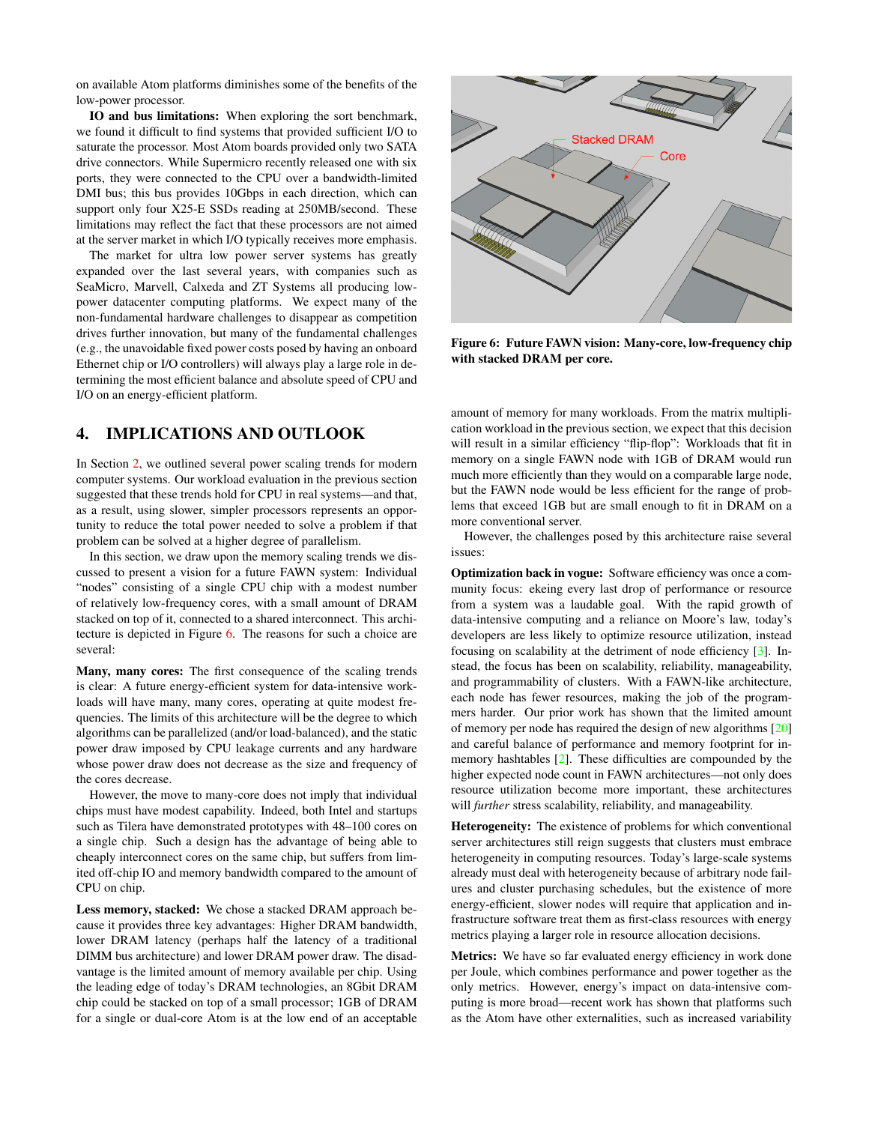on available Atom platforms diminishes some of the benefits of the low-power processor.

IO and bus limitations: When exploring the sort benchmark, we found it difficult to find systems that provided sufficient I/O to saturate the processor. Most Atom boards provided only two SATA drive connectors. While Supermicro recently released one with six ports, they were connected to the CPU over a bandwidth-limited DMI bus; this bus provides 10Gbps in each direction, which can support only four X25-E SSDs reading at 250MB/second. These limitations may reflect the fact that these processors are not aimed at the server market in which I/O typically receives more emphasis.

The market for ultra low power server systems has greatly expanded over the last several years, with companies such as SeaMicro, Marvell, Calxeda and ZT Systems all producing lowpower datacenter computing platforms. We expect many of the non-fundamental hardware challenges to disappear as competition drives further innovation, but many of the fundamental challenges (e.g., the unavoidable fixed power costs posed by having an onboard Ethernet chip or I/O controllers) will always play a large role in determining the most efficient balance and absolute speed of CPU and I/O on an energy-efficient platform.

# <span id="page-8-0"></span>4. IMPLICATIONS AND OUTLOOK

In Section [2,](#page-0-0) we outlined several power scaling trends for modern computer systems. Our workload evaluation in the previous section suggested that these trends hold for CPU in real systems—and that, as a result, using slower, simpler processors represents an opportunity to reduce the total power needed to solve a problem if that problem can be solved at a higher degree of parallelism.

In this section, we draw upon the memory scaling trends we discussed to present a vision for a future FAWN system: Individual "nodes" consisting of a single CPU chip with a modest number of relatively low-frequency cores, with a small amount of DRAM stacked on top of it, connected to a shared interconnect. This architecture is depicted in Figure [6.](#page-8-1) The reasons for such a choice are several:

Many, many cores: The first consequence of the scaling trends is clear: A future energy-efficient system for data-intensive workloads will have many, many cores, operating at quite modest frequencies. The limits of this architecture will be the degree to which algorithms can be parallelized (and/or load-balanced), and the static power draw imposed by CPU leakage currents and any hardware whose power draw does not decrease as the size and frequency of the cores decrease.

However, the move to many-core does not imply that individual chips must have modest capability. Indeed, both Intel and startups such as Tilera have demonstrated prototypes with 48–100 cores on a single chip. Such a design has the advantage of being able to cheaply interconnect cores on the same chip, but suffers from limited off-chip IO and memory bandwidth compared to the amount of CPU on chip.

Less memory, stacked: We chose a stacked DRAM approach because it provides three key advantages: Higher DRAM bandwidth, lower DRAM latency (perhaps half the latency of a traditional DIMM bus architecture) and lower DRAM power draw. The disadvantage is the limited amount of memory available per chip. Using the leading edge of today's DRAM technologies, an 8Gbit DRAM chip could be stacked on top of a small processor; 1GB of DRAM for a single or dual-core Atom is at the low end of an acceptable

<span id="page-8-1"></span>

Figure 6: Future FAWN vision: Many-core, low-frequency chip with stacked DRAM per core.

amount of memory for many workloads. From the matrix multiplication workload in the previous section, we expect that this decision will result in a similar efficiency "flip-flop": Workloads that fit in memory on a single FAWN node with 1GB of DRAM would run much more efficiently than they would on a comparable large node, but the FAWN node would be less efficient for the range of problems that exceed 1GB but are small enough to fit in DRAM on a more conventional server.

However, the challenges posed by this architecture raise several issues:

Optimization back in vogue: Software efficiency was once a community focus: ekeing every last drop of performance or resource from a system was a laudable goal. With the rapid growth of data-intensive computing and a reliance on Moore's law, today's developers are less likely to optimize resource utilization, instead focusing on scalability at the detriment of node efficiency [\[3\]](#page-9-3). Instead, the focus has been on scalability, reliability, manageability, and programmability of clusters. With a FAWN-like architecture, each node has fewer resources, making the job of the programmers harder. Our prior work has shown that the limited amount of memory per node has required the design of new algorithms [\[20\]](#page-10-11) and careful balance of performance and memory footprint for inmemory hashtables [\[2\]](#page-9-1). These difficulties are compounded by the higher expected node count in FAWN architectures—not only does resource utilization become more important, these architectures will *further* stress scalability, reliability, and manageability.

Heterogeneity: The existence of problems for which conventional server architectures still reign suggests that clusters must embrace heterogeneity in computing resources. Today's large-scale systems already must deal with heterogeneity because of arbitrary node failures and cluster purchasing schedules, but the existence of more energy-efficient, slower nodes will require that application and infrastructure software treat them as first-class resources with energy metrics playing a larger role in resource allocation decisions.

Metrics: We have so far evaluated energy efficiency in work done per Joule, which combines performance and power together as the only metrics. However, energy's impact on data-intensive computing is more broad—recent work has shown that platforms such as the Atom have other externalities, such as increased variability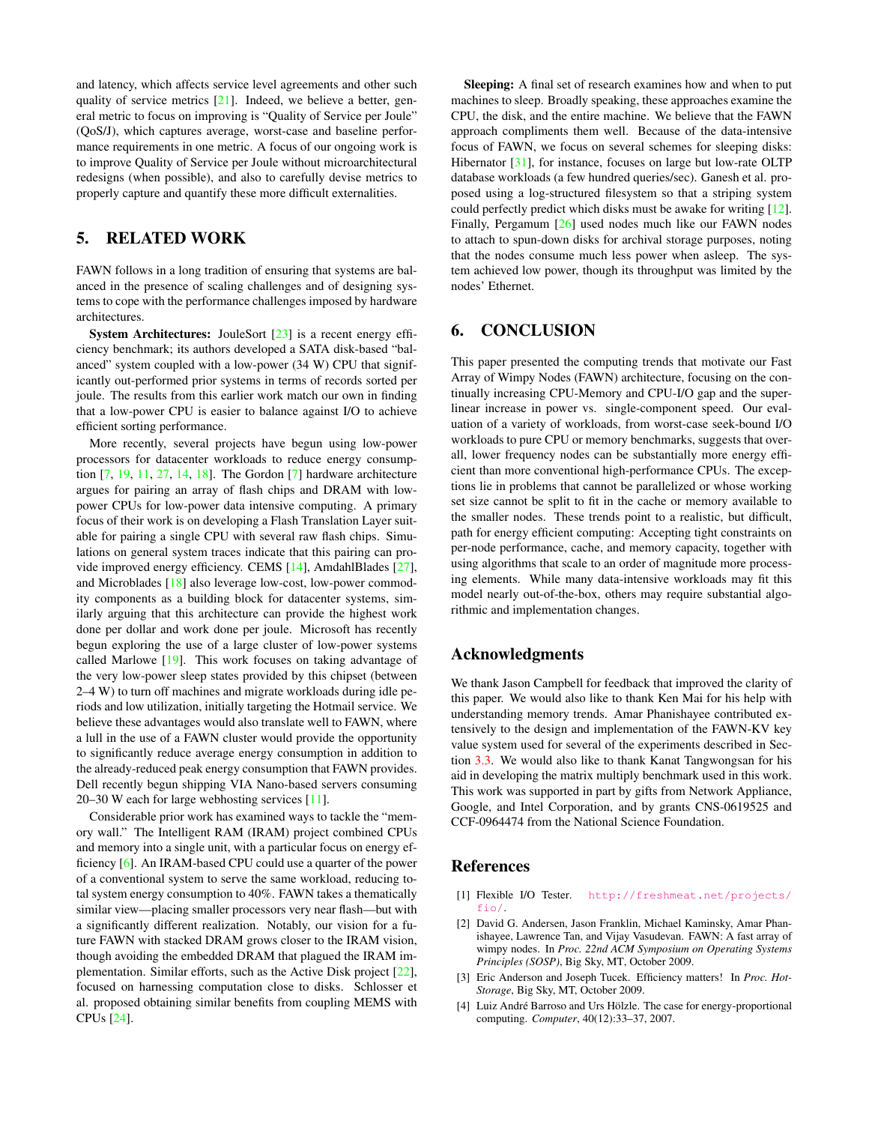and latency, which affects service level agreements and other such quality of service metrics [\[21\]](#page-10-13). Indeed, we believe a better, general metric to focus on improving is "Quality of Service per Joule" (QoS/J), which captures average, worst-case and baseline performance requirements in one metric. A focus of our ongoing work is to improve Quality of Service per Joule without microarchitectural redesigns (when possible), and also to carefully devise metrics to properly capture and quantify these more difficult externalities.

# 5. RELATED WORK

FAWN follows in a long tradition of ensuring that systems are balanced in the presence of scaling challenges and of designing systems to cope with the performance challenges imposed by hardware architectures.

System Architectures: JouleSort [\[23\]](#page-10-14) is a recent energy efficiency benchmark; its authors developed a SATA disk-based "balanced" system coupled with a low-power (34 W) CPU that significantly out-performed prior systems in terms of records sorted per joule. The results from this earlier work match our own in finding that a low-power CPU is easier to balance against I/O to achieve efficient sorting performance.

More recently, several projects have begun using low-power processors for datacenter workloads to reduce energy consumption [\[7,](#page-10-15) [19,](#page-10-16) [11,](#page-10-17) [27,](#page-10-18) [14,](#page-10-19) [18\]](#page-10-20). The Gordon [\[7\]](#page-10-15) hardware architecture argues for pairing an array of flash chips and DRAM with lowpower CPUs for low-power data intensive computing. A primary focus of their work is on developing a Flash Translation Layer suitable for pairing a single CPU with several raw flash chips. Simulations on general system traces indicate that this pairing can provide improved energy efficiency. CEMS [\[14\]](#page-10-19), AmdahlBlades [\[27\]](#page-10-18), and Microblades [\[18\]](#page-10-20) also leverage low-cost, low-power commodity components as a building block for datacenter systems, similarly arguing that this architecture can provide the highest work done per dollar and work done per joule. Microsoft has recently begun exploring the use of a large cluster of low-power systems called Marlowe [\[19\]](#page-10-16). This work focuses on taking advantage of the very low-power sleep states provided by this chipset (between 2–4 W) to turn off machines and migrate workloads during idle periods and low utilization, initially targeting the Hotmail service. We believe these advantages would also translate well to FAWN, where a lull in the use of a FAWN cluster would provide the opportunity to significantly reduce average energy consumption in addition to the already-reduced peak energy consumption that FAWN provides. Dell recently begun shipping VIA Nano-based servers consuming 20–30 W each for large webhosting services [\[11\]](#page-10-17).

Considerable prior work has examined ways to tackle the "memory wall." The Intelligent RAM (IRAM) project combined CPUs and memory into a single unit, with a particular focus on energy efficiency [\[6\]](#page-10-21). An IRAM-based CPU could use a quarter of the power of a conventional system to serve the same workload, reducing total system energy consumption to 40%. FAWN takes a thematically similar view—placing smaller processors very near flash—but with a significantly different realization. Notably, our vision for a future FAWN with stacked DRAM grows closer to the IRAM vision, though avoiding the embedded DRAM that plagued the IRAM implementation. Similar efforts, such as the Active Disk project [\[22\]](#page-10-22), focused on harnessing computation close to disks. Schlosser et al. proposed obtaining similar benefits from coupling MEMS with CPUs [\[24\]](#page-10-23).

Sleeping: A final set of research examines how and when to put machines to sleep. Broadly speaking, these approaches examine the CPU, the disk, and the entire machine. We believe that the FAWN approach compliments them well. Because of the data-intensive focus of FAWN, we focus on several schemes for sleeping disks: Hibernator [\[31\]](#page-10-24), for instance, focuses on large but low-rate OLTP database workloads (a few hundred queries/sec). Ganesh et al. proposed using a log-structured filesystem so that a striping system could perfectly predict which disks must be awake for writing [\[12\]](#page-10-25). Finally, Pergamum [\[26\]](#page-10-26) used nodes much like our FAWN nodes to attach to spun-down disks for archival storage purposes, noting that the nodes consume much less power when asleep. The system achieved low power, though its throughput was limited by the nodes' Ethernet.

# 6. CONCLUSION

This paper presented the computing trends that motivate our Fast Array of Wimpy Nodes (FAWN) architecture, focusing on the continually increasing CPU-Memory and CPU-I/O gap and the superlinear increase in power vs. single-component speed. Our evaluation of a variety of workloads, from worst-case seek-bound I/O workloads to pure CPU or memory benchmarks, suggests that overall, lower frequency nodes can be substantially more energy efficient than more conventional high-performance CPUs. The exceptions lie in problems that cannot be parallelized or whose working set size cannot be split to fit in the cache or memory available to the smaller nodes. These trends point to a realistic, but difficult, path for energy efficient computing: Accepting tight constraints on per-node performance, cache, and memory capacity, together with using algorithms that scale to an order of magnitude more processing elements. While many data-intensive workloads may fit this model nearly out-of-the-box, others may require substantial algorithmic and implementation changes.

# Acknowledgments

We thank Jason Campbell for feedback that improved the clarity of this paper. We would also like to thank Ken Mai for his help with understanding memory trends. Amar Phanishayee contributed extensively to the design and implementation of the FAWN-KV key value system used for several of the experiments described in Section [3.3.](#page-3-1) We would also like to thank Kanat Tangwongsan for his aid in developing the matrix multiply benchmark used in this work. This work was supported in part by gifts from Network Appliance, Google, and Intel Corporation, and by grants CNS-0619525 and CCF-0964474 from the National Science Foundation.

# References

- <span id="page-9-2"></span>[1] Flexible I/O Tester. [http://freshmeat.net/projects/](http://freshmeat.net/projects/fio/) [fio/](http://freshmeat.net/projects/fio/).
- <span id="page-9-1"></span>[2] David G. Andersen, Jason Franklin, Michael Kaminsky, Amar Phanishayee, Lawrence Tan, and Vijay Vasudevan. FAWN: A fast array of wimpy nodes. In *Proc. 22nd ACM Symposium on Operating Systems Principles (SOSP)*, Big Sky, MT, October 2009.
- <span id="page-9-3"></span>[3] Eric Anderson and Joseph Tucek. Efficiency matters! In *Proc. Hot-Storage*, Big Sky, MT, October 2009.
- <span id="page-9-0"></span>[4] Luiz André Barroso and Urs Hölzle. The case for energy-proportional computing. *Computer*, 40(12):33–37, 2007.